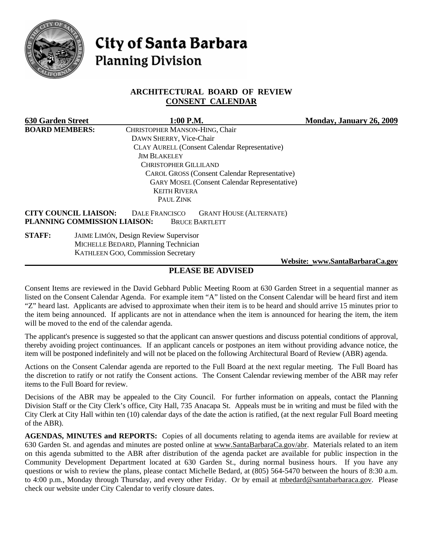

# **City of Santa Barbara Planning Division**

# **ARCHITECTURAL BOARD OF REVIEW CONSENT CALENDAR**

| <b>630 Garden Street</b> |                                                              | $1:00$ P.M.                                  |                                                         | Monday, January 26, 2009        |
|--------------------------|--------------------------------------------------------------|----------------------------------------------|---------------------------------------------------------|---------------------------------|
| <b>BOARD MEMBERS:</b>    |                                                              | CHRISTOPHER MANSON-HING, Chair               |                                                         |                                 |
|                          |                                                              | DAWN SHERRY, Vice-Chair                      |                                                         |                                 |
|                          |                                                              |                                              | <b>CLAY AURELL (Consent Calendar Representative)</b>    |                                 |
|                          |                                                              | <b>JIM BLAKELEY</b>                          |                                                         |                                 |
|                          |                                                              | <b>CHRISTOPHER GILLILAND</b>                 |                                                         |                                 |
|                          |                                                              |                                              | <b>CAROL GROSS (Consent Calendar Representative)</b>    |                                 |
|                          |                                                              |                                              | <b>GARY MOSEL (Consent Calendar Representative)</b>     |                                 |
|                          |                                                              | <b>KEITH RIVERA</b>                          |                                                         |                                 |
|                          |                                                              | PAUL ZINK                                    |                                                         |                                 |
|                          | <b>CITY COUNCIL LIAISON:</b><br>PLANNING COMMISSION LIAISON: | <b>DALE FRANCISCO</b>                        | <b>GRANT HOUSE (ALTERNATE)</b><br><b>BRUCE BARTLETT</b> |                                 |
| <b>STAFF:</b>            |                                                              | <b>JAIME LIMÓN, Design Review Supervisor</b> |                                                         |                                 |
|                          |                                                              | MICHELLE BEDARD, Planning Technician         |                                                         |                                 |
|                          |                                                              | <b>KATHLEEN GOO, Commission Secretary</b>    |                                                         |                                 |
|                          |                                                              |                                              |                                                         | Website: www.SantaBarbaraCa.gov |

# **PLEASE BE ADVISED**

Consent Items are reviewed in the David Gebhard Public Meeting Room at 630 Garden Street in a sequential manner as listed on the Consent Calendar Agenda. For example item "A" listed on the Consent Calendar will be heard first and item "Z" heard last. Applicants are advised to approximate when their item is to be heard and should arrive 15 minutes prior to the item being announced. If applicants are not in attendance when the item is announced for hearing the item, the item will be moved to the end of the calendar agenda.

The applicant's presence is suggested so that the applicant can answer questions and discuss potential conditions of approval, thereby avoiding project continuances. If an applicant cancels or postpones an item without providing advance notice, the item will be postponed indefinitely and will not be placed on the following Architectural Board of Review (ABR) agenda.

Actions on the Consent Calendar agenda are reported to the Full Board at the next regular meeting. The Full Board has the discretion to ratify or not ratify the Consent actions. The Consent Calendar reviewing member of the ABR may refer items to the Full Board for review.

Decisions of the ABR may be appealed to the City Council. For further information on appeals, contact the Planning Division Staff or the City Clerk's office, City Hall, 735 Anacapa St. Appeals must be in writing and must be filed with the City Clerk at City Hall within ten (10) calendar days of the date the action is ratified, (at the next regular Full Board meeting of the ABR).

**AGENDAS, MINUTES and REPORTS:** Copies of all documents relating to agenda items are available for review at 630 Garden St. and agendas and minutes are posted online at [www.SantaBarbaraCa.gov/abr.](http://www.santabarbaraca.gov/abr) Materials related to an item on this agenda submitted to the ABR after distribution of the agenda packet are available for public inspection in the Community Development Department located at 630 Garden St., during normal business hours. If you have any questions or wish to review the plans, please contact Michelle Bedard, at (805) 564-5470 between the hours of 8:30 a.m. to 4:00 p.m., Monday through Thursday, and every other Friday. Or by email at [mbedard@santabarbaraca.gov](mailto:mbedard@santabarbaraca.gov). Please check our website under City Calendar to verify closure dates.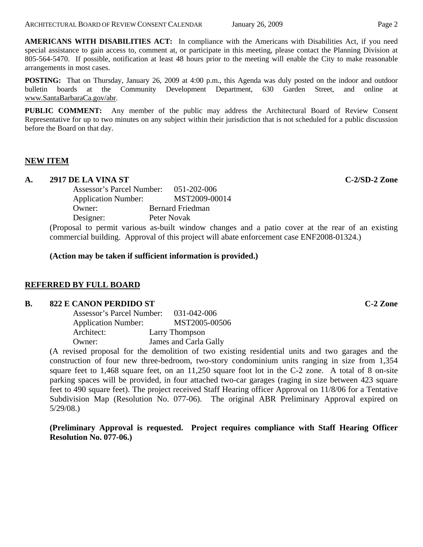**AMERICANS WITH DISABILITIES ACT:** In compliance with the Americans with Disabilities Act, if you need special assistance to gain access to, comment at, or participate in this meeting, please contact the Planning Division at 805-564-5470. If possible, notification at least 48 hours prior to the meeting will enable the City to make reasonable arrangements in most cases.

**POSTING:** That on Thursday, January 26, 2009 at 4:00 p.m., this Agenda was duly posted on the indoor and outdoor bulletin boards at the Community Development Department, 630 Garden Street, and online at [www.SantaBarbaraCa.gov/abr.](http://www.santabarbaraca.gov/abr)

**PUBLIC COMMENT:** Any member of the public may address the Architectural Board of Review Consent Representative for up to two minutes on any subject within their jurisdiction that is not scheduled for a public discussion before the Board on that day.

## **NEW ITEM**

# **A. 2917 DE LA VINA ST C-2/SD-2 Zone**

Assessor's Parcel Number: 051-202-006 Application Number: MST2009-00014 Owner: Bernard Friedman Designer: Peter Novak

(Proposal to permit various as-built window changes and a patio cover at the rear of an existing commercial building. Approval of this project will abate enforcement case ENF2008-01324.)

**(Action may be taken if sufficient information is provided.)** 

## **REFERRED BY FULL BOARD**

#### **B.** 822 E CANON PERDIDO ST C-2 Zone

| Assessor's Parcel Number:  | 031-042-006           |
|----------------------------|-----------------------|
| <b>Application Number:</b> | MST2005-00506         |
| Architect:                 | Larry Thompson        |
| Owner:                     | James and Carla Gally |
|                            |                       |

(A revised proposal for the demolition of two existing residential units and two garages and the construction of four new three-bedroom, two-story condominium units ranging in size from 1,354 square feet to 1,468 square feet, on an 11,250 square foot lot in the C-2 zone. A total of 8 on-site parking spaces will be provided, in four attached two-car garages (raging in size between 423 square feet to 490 square feet). The project received Staff Hearing officer Approval on 11/8/06 for a Tentative Subdivision Map (Resolution No. 077-06). The original ABR Preliminary Approval expired on 5/29/08.)

**(Preliminary Approval is requested. Project requires compliance with Staff Hearing Officer Resolution No. 077-06.)**